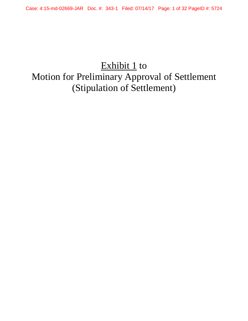# Exhibit 1 to Motion for Preliminary Approval of Settlement (Stipulation of Settlement)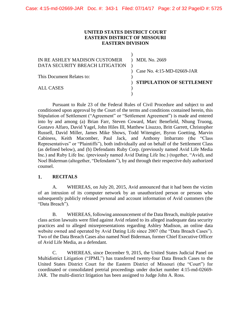# **UNITED STATES DISTRICT COURT EASTERN DISTRICT OF MISSOURI EASTERN DIVISION**

| MDL No. 2669                     |
|----------------------------------|
|                                  |
| Case No. 4:15-MD-02669-JAR       |
|                                  |
| <b>STIPULATION OF SETTLEMENT</b> |
|                                  |
|                                  |
|                                  |

Pursuant to Rule 23 of the Federal Rules of Civil Procedure and subject to and conditioned upon approval by the Court of the terms and conditions contained herein, this Stipulation of Settlement ("Agreement" or "Settlement Agreement") is made and entered into by and among (a) Brian Farr, Steven Coward, Marc Benefield, Nhung Truong, Gustavo Alfaro, David Yagel, John Hiles III, Matthew Lisuzzo, Britt Garrett, Christopher Russell, David Miller, James Mike Shows, Todd Witengier, Byron Goetting, Marvin Cabiness, Keith Macomber, Paul Jack, and Anthony Imbarrato (the "Class Representatives" or "Plaintiffs"), both individually and on behalf of the Settlement Class (as defined below), and (b) Defendants Ruby Corp. (previously named Avid Life Media Inc.) and Ruby Life Inc. (previously named Avid Dating Life Inc.) (together, "Avid), and Noel Biderman (altogether, "Defendants"), by and through their respective duly authorized counsel.

#### $1.$ **RECITALS**

A. WHEREAS, on July 20, 2015, Avid announced that it had been the victim of an intrusion of its computer network by an unauthorized person or persons who subsequently publicly released personal and account information of Avid customers (the "Data Breach").

B. WHEREAS, following announcement of the Data Breach, multiple putative class action lawsuits were filed against Avid related to its alleged inadequate data security practices and to alleged misrepresentations regarding Ashley Madison, an online data website owned and operated by Avid Dating Life since 2007 (the "Data Breach Cases"). Two of the Data Breach Cases also named Noel Biderman, former Chief Executive Officer of Avid Life Media, as a defendant.

C. WHEREAS, since December 9, 2015, the United States Judicial Panel on Multidistrict Litigation ("JPML") has transferred twenty-four Data Breach Cases to the United States District Court for the Eastern District of Missouri (the "Court") for coordinated or consolidated pretrial proceedings under docket number 4:15-md-02669- JAR. The multi-district litigation has been assigned to Judge John A. Ross.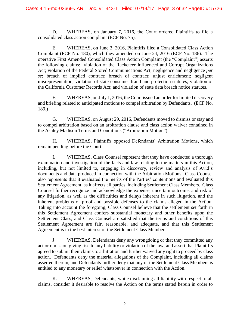D. WHEREAS, on January 7, 2016, the Court ordered Plaintiffs to file a consolidated class action complaint (ECF No. 75).

E. WHEREAS, on June 3, 2016, Plaintiffs filed a Consolidated Class Action Complaint (ECF No. 180), which they amended on June 24, 2016 (ECF No. 186). The operative First Amended Consolidated Class Action Complaint (the "Complaint") asserts the following claims: violation of the Racketeer Influenced and Corrupt Organizations Act; violation of the Federal Stored Communications Act; negligence and negligence *per se*; breach of implied contract; breach of contract; unjust enrichment; negligent misrepresentation; violation of state consumer fraud and protection statutes; violation of the California Customer Records Act; and violation of state data breach notice statutes.

F. WHEREAS, on July 1, 2016, the Court issued an order for limited discovery and briefing related to anticipated motions to compel arbitration by Defendants. (ECF No. 189.)

G. WHEREAS, on August 29, 2016, Defendants moved to dismiss or stay and to compel arbitration based on an arbitration clause and class action waiver contained in the Ashley Madison Terms and Conditions ("Arbitration Motion").

H. WHEREAS, Plaintiffs opposed Defendants' Arbitration Motions, which remain pending before the Court.

I. WHEREAS, Class Counsel represent that they have conducted a thorough examination and investigation of the facts and law relating to the matters in this Action, including, but not limited to, engaging in discovery, review and analysis of Avid's documents and data produced in connection with the Arbitration Motions. Class Counsel also represents that it evaluated the merits of the Parties' contentions and evaluated this Settlement Agreement, as it affects all parties, including Settlement Class Members. Class Counsel further recognize and acknowledge the expense, uncertain outcome, and risk of any litigation, as well as the difficulties and delays inherent in such litigation, and the inherent problems of proof and possible defenses to the claims alleged in the Action. Taking into account the foregoing, Class Counsel believe that the settlement set forth in this Settlement Agreement confers substantial monetary and other benefits upon the Settlement Class, and Class Counsel are satisfied that the terms and conditions of this Settlement Agreement are fair, reasonable, and adequate, and that this Settlement Agreement is in the best interest of the Settlement Class Members.

J. WHEREAS, Defendants deny any wrongdoing or that they committed any act or omission giving rise to any liability or violation of the law, and assert that Plaintiffs agreed to submit their claims to arbitration and further waived any right to proceed by class action. Defendants deny the material allegations of the Complaint, including all claims asserted therein, and Defendants further deny that any of the Settlement Class Members is entitled to any monetary or relief whatsoever in connection with the Action.

K. WHEREAS, Defendants, while disclaiming all liability with respect to all claims, consider it desirable to resolve the Action on the terms stated herein in order to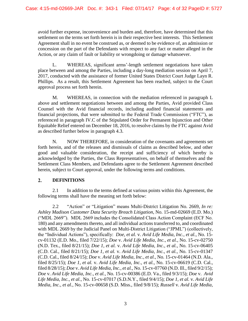avoid further expense, inconvenience and burden and, therefore, have determined that this settlement on the terms set forth herein is in their respective best interests. This Settlement Agreement shall in no event be construed as, or deemed to be evidence of, an admission or concession on the part of the Defendants with respect to any fact or matter alleged in the Action, or any claim of fault or liability or wrongdoing or damage whatsoever.

L. WHEREAS, significant arms'-length settlement negotiations have taken place between and among the Parties, including a day-long mediation session on April 7, 2017, conducted with the assistance of former United States District Court Judge Layn R. Phillips. As a result, this Settlement Agreement has been reached, subject to the Court approval process set forth herein.

M. WHEREAS, in connection with the mediation referenced in paragraph L above and settlement negotiations between and among the Parties, Avid provided Class Counsel with the Avid financial records, including audited financial statements and financial projections, that were submitted to the Federal Trade Commission ("FTC"), as referenced in paragraph IV.C of the Stipulated Order for Permanent Injunction and Other Equitable Relief entered on December 18, 2016, to resolve claims by the FTC against Avid as described further below in paragraph 4.3.

N. NOW THEREFORE, in consideration of the covenants and agreements set forth herein, and of the releases and dismissals of claims as described below, and other good and valuable consideration, the receipt and sufficiency of which hereby is acknowledged by the Parties, the Class Representatives, on behalf of themselves and the Settlement Class Members, and Defendants agree to the Settlement Agreement described herein, subject to Court approval, under the following terms and conditions.

#### $2.$ **DEFINITIONS**

2.1 In addition to the terms defined at various points within this Agreement, the following terms shall have the meaning set forth below:

2.2 "Action" or "Litigation" means Multi-District Litigation No. 2669, *In re: Ashley Madison Customer Data Security Breach Litigation*, No. 15-md-02669 (E.D. Mo.) ("MDL 2669"). MDL 2669 includes the Consolidated Class Action Complaint (ECF No. 180) and any amendments thereto, and all individual actions transferred to, and coordinated with MDL 2669 by the Judicial Panel on Multi-District Litigation ("JPML") (collectively, the "Individual Actions"), specifically: *Doe, et al.* v. *Avid Life Media, Inc., et al.*, No. 15 cv-01132 (E.D. Mo., filed 7/22/15); *Doe* v. *Avid Life Media, Inc., et al.*, No. 15-cv-02750 (N.D. Tex., filed 8/21/15); *Doe 1, et al.* v. *Avid Life Media, Inc., et al.*, No. 15-cv-06405 (C.D. Cal., filed 8/21/15); *Doe 1, et al.* v. *Avid Life Media, Inc., et al.*, No. 15-cv-01347 (C.D. Cal., filed 8/24/15); *Doe* v. *Avid Life Media, Inc., et al.*, No. 15-cv-01464 (N.D. Ala., filed 8/25/15); *Doe 1, et al.* v. *Avid Life Media, Inc., et al.*, No. 15-cv-06619 (C.D. Cal., filed 8/28/15); *Doe* v. *Avid Life Media, Inc., et al.*, No. 15-cv-07760 (N.D. Ill., filed 9/2/15); *Doe* v. *Avid Life Media, Inc., et al.*, No. 15-cv-00386 (E.D. Va., filed 9/3/15); *Doe* v. *Avid Life Media, Inc., et al.*, No. 15-cv-07017 (S.D.N.Y., filed 9/4/15); *Doe 1, et al.* v. *Avid Life Media, Inc., et al.*, No. 15-cv-00658 (S.D. Miss., filed 9/8/15); *Russell* v. *Avid Life Media,*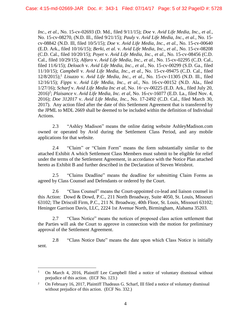*Inc., et al.*, No. 15-cv-02693 (D. Md., filed 9/11/15); *Doe* v. *Avid Life Media, Inc., et al.*, No. 15-cv-08270, (N.D. Ill., filed 9/21/15); *Pauly* v. *Avid Life Media, Inc., et al.*, No. 15 cv-08842 (N.D. Ill, filed 10/5/15); *Doe* v. *Avid Life Media, Inc., et al.*, No. 15-cv-00640 (E.D. Ark., filed 10/16/15); *Berki, et al.* v. *Avid Life Media, Inc., et al.*, No. 15-cv-08208 (C.D. Cal., filed 10/20/15); *Poyet* v. *Avid Life Media, Inc., et al.*, No. 15-cv-08456 (C.D. Cal., filed 10/29/15); *Alfaro* v. *Avid Life Media, Inc., et al.*, No. 15-cv-02295 (C.D. Cal., filed 11/6/15); *Deloach* v. *Avid Life Media, Inc., et al.*, No. 15-cv-00299 (S.D. Ga., filed 11/10/15); *Campbell* v. *Avid Life Media, Inc., et al.*, No. 15-cv-09475 (C.D. Cal., filed 12/8/2015); <sup>1</sup> *Lisuzzo* v. *Avid Life Media, Inc., et al.*, No. 15-cv-11305 (N.D. Ill., filed 12/16/15); *Fipps* v. *Avid Life Media, Inc., et al.*, No. 16-cv-00152 (N.D. Ala., filed 1/27/16); *Scharf* v. *Avid Life Media Inc et al*, No. 16−cv-00225 (E.D. Ark., filed July 20, 2016)<sup>2</sup>; *Plaisance v. Avid Life Media, Inc. et al*, No. 16-cv-16077 (E.D. La., filed Nov. 4, 2016); *Doe 312017* v. *Avid Life Media, Inc.*, No. 17-2492 (C.D. Cal., filed March 30, 2017). Any action filed after the date of this Settlement Agreement that is transferred by the JPML to MDL 2669 shall be deemed to be included within the definition of Individual Actions.

2.3 "Ashley Madison" means the online dating website AshleyMadison.com owned or operated by Avid during the Settlement Class Period, and any mobile applications for that website.

2.4 "Claim" or "Claim Form" means the form substantially similar to the attached Exhibit A which Settlement Class Members must submit to be eligible for relief under the terms of the Settlement Agreement, in accordance with the Notice Plan attached hereto as Exhibit B and further described in the Declaration of Steven Weisbrot.

2.5 "Claims Deadline" means the deadline for submitting Claim Forms as agreed by Class Counsel and Defendants or ordered by the Court.

2.6 "Class Counsel" means the Court-appointed co-lead and liaison counsel in this Action: Dowd & Dowd, P.C., 211 North Broadway, Suite 4050, St. Louis, Missouri 63102; The Driscoll Firm, P.C., 211 N. Broadway, 40th Floor, St. Louis, Missouri 63102; Heninger Garrison Davis, LLC, 2224 1st Avenue North, Birmingham, Alabama 35203.

2.7 "Class Notice" means the notices of proposed class action settlement that the Parties will ask the Court to approve in connection with the motion for preliminary approval of the Settlement Agreement.

2.8 "Class Notice Date" means the date upon which Class Notice is initially sent.

 $\overline{a}$ 

<sup>&</sup>lt;sup>1</sup> On March 4, 2016, Plaintiff Lee Campbell filed a notice of voluntary dismissal without prejudice of this action. (ECF No. 123.)

<sup>&</sup>lt;sup>2</sup> On February 16, 2017, Plaintiff Thadeaus G. Scharf, III filed a notice of voluntary dismissal without prejudice of this action. (ECF No. 332.)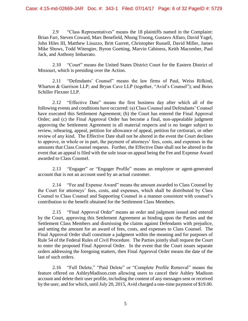2.9 "Class Representatives" means the 18 plaintiffs named in the Complaint: Brian Farr, Steven Coward, Marc Benefield, Nhung Truong, Gustavo Alfaro, David Yagel, John Hiles III, Matthew Lisuzzo, Britt Garrett, Christopher Russell, David Miller, James Mike Shows, Todd Witengier, Byron Goetting, Marvin Cabiness, Keith Macomber, Paul Jack, and Anthony Imbarrato.

2.10 "Court" means the United States District Court for the Eastern District of Missouri, which is presiding over the Action.

2.11 "Defendants' Counsel" means the law firms of Paul, Weiss Rifkind, Wharton & Garrison LLP; and Bryan Cave LLP (together, "Avid's Counsel"); and Boies Schiller Flexner LLP.

2.12 "Effective Date" means the first business day after which all of the following events and conditions have occurred: (a) Class Counsel and Defendants' Counsel have executed this Settlement Agreement; (b) the Court has entered the Final Approval Order; and (c) the Final Approval Order has become a final, non-appealable judgment approving the Settlement Agreement in all material respects and is no longer subject to review, rehearing, appeal, petition for allowance of appeal, petition for certiorari, or other review of any kind. The Effective Date shall not be altered in the event the Court declines to approve, in whole or in part, the payment of attorneys' fees, costs, and expenses in the amounts that Class Counsel requests. Further, the Effective Date shall not be altered in the event that an appeal is filed with the sole issue on appeal being the Fee and Expense Award awarded to Class Counsel.

2.13 "Engager" or "Engager Profile" means an employee or agent-generated account that is not an account used by an actual customer.

2.14 "Fee and Expense Award" means the amount awarded to Class Counsel by the Court for attorneys' fees, costs, and expenses, which shall be distributed by Class Counsel to Class Counsel and Supporting Counsel in a manner consistent with counsel's contribution to the benefit obtained for the Settlement Class Members.

2.15 "Final Approval Order" means an order and judgment issued and entered by the Court, approving this Settlement Agreement as binding upon the Parties and the Settlement Class Members and dismissing the claims against Defendants with prejudice, and setting the amount for an award of fees, costs, and expenses to Class Counsel. The Final Approval Order shall constitute a judgment within the meaning and for purposes of Rule 54 of the Federal Rules of Civil Procedure. The Parties jointly shall request the Court to enter the proposed Final Approval Order. In the event that the Court issues separate orders addressing the foregoing matters, then Final Approval Order means the date of the last of such orders.

2.16 "Full Delete," "Paid Delete" or "Complete Profile Removal" means the feature offered on AshleyMadison.com allowing users to cancel their Ashley Madison account and delete their user profile, including the content of any messages sent or received by the user, and for which, until July 20, 2015, Avid charged a one-time payment of \$19.00.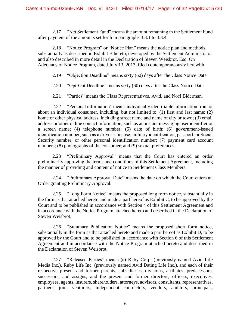2.17 "Net Settlement Fund" means the amount remaining in the Settlement Fund after payment of the amounts set forth in paragraphs 3.3.1 to 3.3.4.

2.18 "Notice Program" or "Notice Plan" means the notice plan and methods, substantially as described in Exhibit B hereto, developed by the Settlement Administrator and also described in more detail in the Declaration of Steven Weisbrot, Esq. On Adequacy of Notice Program, dated July 13, 2017, filed contemporaneously herewith.

2.19 "Objection Deadline" means sixty (60) days after the Class Notice Date.

2.20 "Opt-Out Deadline" means sixty (60) days after the Class Notice Date.

2.21 "Parties" means the Class Representatives, Avid, and Noel Biderman.

2.22 "Personal information" means individually identifiable information from or about an individual consumer, including, but not limited to: (1) first and last name; (2) home or other physical address, including street name and name of city or town; (3) email address or other online contact information, such as an instant messaging user identifier or a screen name; (4) telephone number; (5) date of birth; (6) government-issued identification number, such as a driver's license, military identification, passport, or Social Security number, or other personal identification number; (7) payment card account numbers; (8) photographs of the consumer; and (9) sexual preferences.

2.23 "Preliminary Approval" means that the Court has entered an order preliminarily approving the terms and conditions of this Settlement Agreement, including the manner of providing and content of notice to Settlement Class Members.

2.24 "Preliminary Approval Date" means the date on which the Court enters an Order granting Preliminary Approval.

2.25 "Long Form Notice" means the proposed long form notice, substantially in the form as that attached hereto and made a part hereof as Exhibit C, to be approved by the Court and to be published in accordance with Section 4 of this Settlement Agreement and in accordance with the Notice Program attached hereto and described in the Declaration of Steven Weisbrot.

2.26 "Summary Publication Notice" means the proposed short form notice, substantially in the form as that attached hereto and made a part hereof as Exhibit D, to be approved by the Court and to be published in accordance with Section 6 of this Settlement Agreement and in accordance with the Notice Program attached hereto and described in the Declaration of Steven Weisbrot.

2.27 "Released Parties" means (a) Ruby Corp. (previously named Avid Life Media Inc.), Ruby Life Inc. (previously named Avid Dating Life Inc.), and each of their respective present and former parents, subsidiaries, divisions, affiliates, predecessors, successors, and assigns, and the present and former directors, officers, executives, employees, agents, insurers, shareholders, attorneys, advisors, consultants, representatives, partners, joint venturers, independent contractors, vendors, auditors, principals,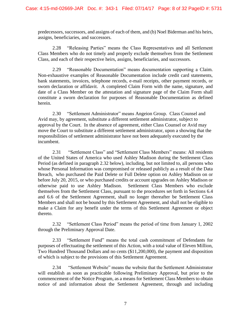predecessors, successors, and assigns of each of them, and (b) Noel Biderman and his heirs, assigns, beneficiaries, and successors.

2.28 "Releasing Parties" means the Class Representatives and all Settlement Class Members who do not timely and properly exclude themselves from the Settlement Class, and each of their respective heirs, assigns, beneficiaries, and successors.

2.29 "Reasonable Documentation" means documentation supporting a Claim. Non-exhaustive examples of Reasonable Documentation include credit card statements, bank statements, invoices, telephone records, e-mail receipts, other payment records, or sworn declaration or affidavit. A completed Claim Form with the name, signature, and date of a Class Member on the attestation and signature page of the Claim Form shall constitute a sworn declaration for purposes of Reasonable Documentation as defined herein.

2.30 "Settlement Administrator" means Angeion Group. Class Counsel and Avid may, by agreement, substitute a different settlement administrator, subject to approval by the Court. In the absence of agreement, either Class Counsel or Avid may move the Court to substitute a different settlement administrator, upon a showing that the responsibilities of settlement administrator have not been adequately executed by the incumbent.

2.31 "Settlement Class" and "Settlement Class Members" means: All residents of the United States of America who used Ashley Madison during the Settlement Class Period (as defined in paragraph 2.32 below), including, but not limited to, all persons who whose Personal Information was compromised or released publicly as a result of the Data Breach, who purchased the Paid Delete or Full Delete option on Ashley Madison on or before July 20, 2015, or who purchased credits or account upgrades on Ashley Madison or otherwise paid to use Ashley Madison. Settlement Class Members who exclude themselves from the Settlement Class, pursuant to the procedures set forth in Sections 6.4 and 6.6 of the Settlement Agreement, shall no longer thereafter be Settlement Class Members and shall not be bound by this Settlement Agreement, and shall not be eligible to make a Claim for any benefit under the terms of this Settlement Agreement or object thereto.

2.32 "Settlement Class Period" means the period of time from January 1, 2002 through the Preliminary Approval Date.

2.33 "Settlement Fund" means the total cash commitment of Defendants for purposes of effectuating the settlement of this Action, with a total value of Eleven Million, Two Hundred Thousand Dollars and no cents (\$11,200,000), the payment and disposition of which is subject to the provisions of this Settlement Agreement.

2.34 "Settlement Website" means the website that the Settlement Administrator will establish as soon as practicable following Preliminary Approval, but prior to the commencement of the Notice Program, as a means for Settlement Class Members to obtain notice of and information about the Settlement Agreement, through and including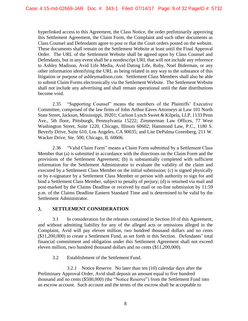hyperlinked access to this Agreement, the Class Notice, the order preliminarily approving this Settlement Agreement, the Claim Form, the Complaint and such other documents as Class Counsel and Defendants agree to post or that the Court orders posted on the website. These documents shall remain on the Settlement Website at least until the Final Approval Order. The URL of the Settlement Website shall be agreed upon by Class Counsel and Defendants, but in any event shall be a nondescript URL that will not include any reference to Ashley Madison, Avid Life Media, Avid Dating Life, Ruby, Noel Biderman, or any other information identifying the URL as being related in any way to the substance of this litigation or purpose of ashleymadison.com. Settlement Class Members shall also be able to submit Claim Forms electronically via the Settlement Website. The Settlement Website shall not include any advertising and shall remain operational until the date distributions become void.

2.35 "Supporting Counsel" means the members of the Plaintiffs' Executive Committee, comprised of the law firms of John Arthur Eaves Attorneys at Law 101 North State Street, Jackson, Mississippi, 39201; Carlson Lynch Sweet & Kilpela, LLP, 1133 Penn Ave., 5th floor, Pittsburgh, Pennsylvania 15222; Zimmerman Law Offices, 77 West Washington Street, Suite 1220, Chicago, Illinois 60602; Hammond Law, P.C., 1180 S. Beverly Drive, Suite 610, Los Angeles, CA 90035; and Lite DePalma Greenberg, 211 W. Wacker Drive, Ste. 500, Chicago, IL 60606.

2.36 "Valid Claim Form" means a Claim Form submitted by a Settlement Class Member that (a) is submitted in accordance with the directions on the Claim Form and the provisions of the Settlement Agreement; (b) is substantially completed with sufficient information for the Settlement Administrator to evaluate the validity of the claim and executed by a Settlement Class Member on the initial submission; (c) is signed physically or by e-signature by a Settlement Class Member or person with authority to sign for and bind a Settlement Class Member, subject to penalty of perjury; (d) is returned via mail and post-marked by the Claims Deadline or received by mail or on-line submission by 11:59 p.m. of the Claims Deadline Eastern Standard Time and is determined to be valid by the Settlement Administrator.

#### $3.$ **SETTLEMENT CONSIDERATION**

3.1 In consideration for the releases contained in Section 10 of this Agreement, and without admitting liability for any of the alleged acts or omissions alleged in the Complaint, Avid will pay eleven million, two hundred thousand dollars and no cents (\$11,200,000) to create a Settlement Fund, as set forth in this Section. Defendants' total financial commitment and obligation under this Settlement Agreement shall not exceed eleven million, two hundred thousand dollars and no cents (\$11,200,000).

3.2 Establishment of the Settlement Fund.

3.2.1 Notice Reserve. No later than ten (10) calendar days after the Preliminary Approval Order, Avid shall deposit an amount equal to five hundred thousand and no cents (\$500,000) (the "Notice Reserve") from the Settlement Fund into an escrow account. Such account and the terms of the escrow shall be acceptable to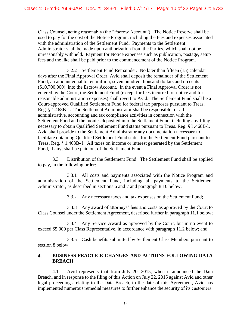Class Counsel, acting reasonably (the "Escrow Account"). The Notice Reserve shall be used to pay for the cost of the Notice Program, including the fees and expenses associated with the administration of the Settlement Fund. Payments to the Settlement Administrator shall be made upon authorization from the Parties, which shall not be unreasonably withheld. Payment for Notice expenses such as publication, postage, setup fees and the like shall be paid prior to the commencement of the Notice Program.

3.2.2 Settlement Fund Remainder. No later than fifteen (15) calendar days after the Final Approval Order, Avid shall deposit the remainder of the Settlement Fund, an amount equal to ten million, seven hundred thousand dollars and no cents (\$10,700,000), into the Escrow Account. In the event a Final Approval Order is not entered by the Court, the Settlement Fund (except for fees incurred for notice and for reasonable administration expenses) shall revert to Avid. The Settlement Fund shall be a Court-approved Qualified Settlement Fund for federal tax purposes pursuant to Treas. Reg. § 1.468B-1. The Settlement Administrator shall be responsible for all administrative, accounting and tax compliance activities in connection with the Settlement Fund and the monies deposited into the Settlement Fund, including any filing necessary to obtain Qualified Settlement Fund status pursuant to Treas. Reg. § l .468B-l. Avid shall provide to the Settlement Administrator any documentation necessary to facilitate obtaining Qualified Settlement Fund status for the Settlement Fund pursuant to Treas. Reg. § 1.468B- l. All taxes on income or interest generated by the Settlement Fund, if any, shall be paid out of the Settlement Fund.

3.3 Distribution of the Settlement Fund. The Settlement Fund shall be applied to pay, in the following order:

3.3.1 All costs and payments associated with the Notice Program and administration of the Settlement Fund, including all payments to the Settlement Administrator, as described in sections 6 and 7 and paragraph 8.10 below;

3.3.2 Any necessary taxes and tax expenses on the Settlement Fund;

3.3.3 Any award of attorneys' fees and costs as approved by the Court to Class Counsel under the Settlement Agreement, described further in paragraph 11.1 below;

3.3.4 Any Service Award as approved by the Court, but in no event to exceed \$5,000 per Class Representative, in accordance with paragraph 11.2 below; and

3.3.5 Cash benefits submitted by Settlement Class Members pursuant to section 8 below.

#### **BUSINESS PRACTICE CHANGES AND ACTIONS FOLLOWING DATA**   $\overline{4}$ . **BREACH**

4.1 Avid represents that from July 20, 2015, when it announced the Data Breach, and in response to the filing of this Action on July 22, 2015 against Avid and other legal proceedings relating to the Data Breach, to the date of this Agreement, Avid has implemented numerous remedial measures to further enhance the security of its customers'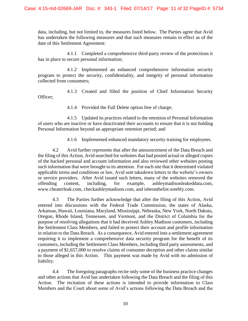data, including, but not limited to, the measures listed below. The Parties agree that Avid has undertaken the following measures and that such measures remain in effect as of the date of this Settlement Agreement:

4.1.1 Completed a comprehensive third-party review of the protections it has in place to secure personal information;

4.1.2 Implemented an enhanced comprehensive information security program to protect the security, confidentiality, and integrity of personal information collected from consumers;

4.1.3 Created and filled the position of Chief Information Security Officer;

4.1.4 Provided the Full Delete option free of charge;

4.1.5 Updated its practices related to the retention of Personal Information of users who are inactive or have deactivated their accounts to ensure that it is not holding Personal Information beyond an appropriate retention period; and

4.1.6 Implemented enhanced mandatory security training for employees.

4.2 Avid further represents that after the announcement of the Data Breach and the filing of this Action, Avid searched for websites that had posted actual or alleged copies of the hacked personal and account information and also reviewed other websites posting such information that were brought to its attention. For each site that it determined violated applicable terms and conditions or law, Avid sent takedown letters to the website's owners or service providers. After Avid issued such letters, many of the websites removed the offending content, including, for example, ashleymadisonleakeddata.com, www.cheaterleak.com, checkashleymadison.com, and isheonthelist.weebly.com.

4.3 The Parties further acknowledge that after the filing of this Action, Avid entered into discussions with the Federal Trade Commission, the states of Alaska, Arkansas, Hawaii, Louisiana, Maryland, Mississippi, Nebraska, New York, North Dakota, Oregon, Rhode Island, Tennessee, and Vermont, and the District of Columbia for the purpose of resolving allegations that it had deceived Ashley Madison customers, including the Settlement Class Members, and failed to protect their account and profile information in relation to the Data Breach. As a consequence, Avid entered into a settlement agreement requiring it to implement a comprehensive data security program for the benefit of its customers, including the Settlement Class Members, including third party assessments, and a payment of \$1,657,000 to resolve claims of consumer deception and other claims similar to those alleged in this Action. This payment was made by Avid with no admission of liability.

4.4 The foregoing paragraphs recite only some of the business practice changes and other actions that Avid has undertaken following the Data Breach and the filing of this Action. The recitation of these actions is intended to provide information to Class Members and the Court about some of Avid's actions following the Data Breach and the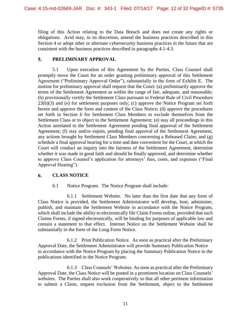filing of this Action relating to the Data Breach and does not create any rights or obligations. Avid may, in its discretion, amend the business practices described in this Section 4 or adopt other or alternate cybersecurity business practices in the future that are consistent with the business practices described in paragraphs 4.1-4.3.

#### $5.$ **PRELIMINARY APPROVAL**

5.1 Upon execution of this Agreement by the Parties, Class Counsel shall promptly move the Court for an order granting preliminary approval of this Settlement Agreement ("Preliminary Approval Order"), substantially in the form of Exhibit E. The motion for preliminary approval shall request that the Court: (a) preliminarily approve the terms of the Settlement Agreement as within the range of fair, adequate, and reasonable; (b) provisionally certify the Settlement Class pursuant to Federal Rule of Civil Procedure 23(b)(3) and (e) for settlement purposes only; (c) approve the Notice Program set forth herein and approve the form and content of the Class Notice; (d) approve the procedures set forth in Section 6 for Settlement Class Members to exclude themselves from the Settlement Class or to object to the Settlement Agreement; (e) stay all proceedings in this Action unrelated to the Settlement Agreement pending final approval of the Settlement Agreement; (f) stay and/or enjoin, pending final approval of the Settlement Agreement, any actions brought by Settlement Class Members concerning a Released Claim; and  $(g)$ schedule a final approval hearing for a time and date convenient for the Court, at which the Court will conduct an inquiry into the fairness of the Settlement Agreement, determine whether it was made in good faith and should be finally approved, and determine whether to approve Class Counsel's application for attorneys' fees, costs, and expenses ("Final Approval Hearing").

#### 6. **CLASS NOTICE**

6.1 Notice Program. The Notice Program shall include:

6.1.1 Settlement Website. No later than the first date that any form of Class Notice is provided, the Settlement Administrator will develop, host, administer, publish, and maintain the Settlement Website in accordance with the Notice Program, which shall include the ability to electronically file Claim Forms online, provided that such Claims Forms, if signed electronically, will be binding for purposes of applicable law and contain a statement to that effect. Internet Notice on the Settlement Website shall be substantially in the form of the Long Form Notice.

6.1.2 Print Publication Notice. As soon as practical after the Preliminary Approval Date, the Settlement Administrator will provide Summary Publication Notice in accordance with the Notice Program by placing the Summary Publication Notice in the publications identified in the Notice Program.

6.1.3 Class Counsels' Websites. As soon as practical after the Preliminary Approval Date, the Class Notice will be posted in a prominent location on Class Counsels' websites. The Parties shall also work cooperatively so that all other pertinent information to submit a Claim, request exclusion from the Settlement, object to the Settlement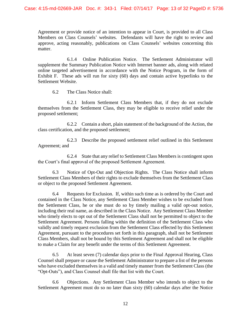Agreement or provide notice of an intention to appear in Court, is provided to all Class Members on Class Counsels' websites. Defendants will have the right to review and approve, acting reasonably, publications on Class Counsels' websites concerning this matter.

6.1.4 Online Publication Notice. The Settlement Administrator will supplement the Summary Publication Notice with Internet banner ads, along with related online targeted advertisement in accordance with the Notice Program, in the form of Exhibit F. These ads will run for sixty (60) days and contain active hyperlinks to the Settlement Website.

6.2 The Class Notice shall:

6.2.1 Inform Settlement Class Members that, if they do not exclude themselves from the Settlement Class, they may be eligible to receive relief under the proposed settlement;

6.2.2 Contain a short, plain statement of the background of the Action, the class certification, and the proposed settlement;

6.2.3 Describe the proposed settlement relief outlined in this Settlement Agreement; and

6.2.4 State that any relief to Settlement Class Members is contingent upon the Court's final approval of the proposed Settlement Agreement.

6.3 Notice of Opt-Out and Objection Rights. The Class Notice shall inform Settlement Class Members of their rights to exclude themselves from the Settlement Class or object to the proposed Settlement Agreement.

6.4 Requests for Exclusion. If, within such time as is ordered by the Court and contained in the Class Notice, any Settlement Class Member wishes to be excluded from the Settlement Class, he or she must do so by timely mailing a valid opt-out notice, including their real name, as described in the Class Notice. Any Settlement Class Member who timely elects to opt out of the Settlement Class shall not be permitted to object to the Settlement Agreement. Persons falling within the definition of the Settlement Class who validly and timely request exclusion from the Settlement Class effected by this Settlement Agreement, pursuant to the procedures set forth in this paragraph, shall not be Settlement Class Members, shall not be bound by this Settlement Agreement and shall not be eligible to make a Claim for any benefit under the terms of this Settlement Agreement.

6.5 At least seven (7) calendar days prior to the Final Approval Hearing, Class Counsel shall prepare or cause the Settlement Administrator to prepare a list of the persons who have excluded themselves in a valid and timely manner from the Settlement Class (the "Opt-Outs"), and Class Counsel shall file that list with the Court.

6.6 Objections. Any Settlement Class Member who intends to object to the Settlement Agreement must do so no later than sixty (60) calendar days after the Notice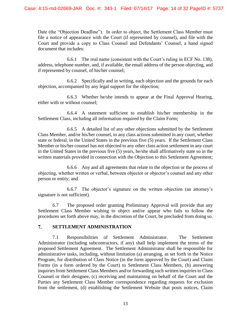Date (the "Objection Deadline"). In order to object, the Settlement Class Member must file a notice of appearance with the Court (if represented by counsel), and file with the Court and provide a copy to Class Counsel and Defendants' Counsel, a hand signed document that includes:

6.6.1 The real name (consistent with the Court's ruling in ECF No. 138), address, telephone number, and, if available, the email address of the person objecting, and if represented by counsel, of his/her counsel;

6.6.2 Specifically and in writing, each objection and the grounds for each objection, accompanied by any legal support for the objection;

6.6.3 Whether he/she intends to appear at the Final Approval Hearing, either with or without counsel;

6.6.4 A statement sufficient to establish his/her membership in the Settlement Class, including all information required by the Claim Form;

6.6.5 A detailed list of any other objections submitted by the Settlement Class Member, and/or his/her counsel, to any class actions submitted in any court, whether state or federal, in the United States in the previous five (5) years. If the Settlement Class Member or his/her counsel has not objected to any other class action settlement in any court in the United States in the previous five (5) years, he/she shall affirmatively state so in the written materials provided in connection with the Objection to this Settlement Agreement;

6.6.6 Any and all agreements that relate to the objection or the process of objecting, whether written or verbal, between objector or objector's counsel and any other person or entity; and

6.6.7 The objector's signature on the written objection (an attorney's signature is not sufficient).

6.7 The proposed order granting Preliminary Approval will provide that any Settlement Class Member wishing to object and/or appear who fails to follow the procedures set forth above may, in the discretion of the Court, be precluded from doing so.

#### 7. **SETTLEMENT ADMINISTRATION**

7.1 Responsibilities of Settlement Administrator. The Settlement Administrator (including subcontractors, if any) shall help implement the terms of the proposed Settlement Agreement. The Settlement Administrator shall be responsible for administrative tasks, including, without limitation (a) arranging, as set forth in the Notice Program, for distribution of Class Notice (in the form approved by the Court) and Claim Forms (in a form ordered by the Court) to Settlement Class Members, (b) answering inquiries from Settlement Class Members and/or forwarding such written inquiries to Class Counsel or their designee, (c) receiving and maintaining on behalf of the Court and the Parties any Settlement Class Member correspondence regarding requests for exclusion from the settlement, (d) establishing the Settlement Website that posts notices, Claim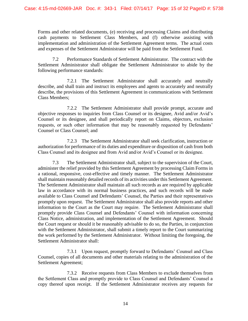Forms and other related documents, (e) receiving and processing Claims and distributing cash payments to Settlement Class Members, and (f) otherwise assisting with implementation and administration of the Settlement Agreement terms. The actual costs and expenses of the Settlement Administrator will be paid from the Settlement Fund.

7.2 Performance Standards of Settlement Administrator. The contract with the Settlement Administrator shall obligate the Settlement Administrator to abide by the following performance standards:

7.2.1 The Settlement Administrator shall accurately and neutrally describe, and shall train and instruct its employees and agents to accurately and neutrally describe, the provisions of this Settlement Agreement in communications with Settlement Class Members;

7.2.2 The Settlement Administrator shall provide prompt, accurate and objective responses to inquiries from Class Counsel or its designee, Avid and/or Avid's Counsel or its designee, and shall periodically report on Claims, objectors, exclusion requests, or such other information that may be reasonably requested by Defendants' Counsel or Class Counsel; and

7.2.3 The Settlement Administrator shall seek clarification, instruction or authorization for performance of its duties and expenditure or disposition of cash from both Class Counsel and its designee and from Avid and/or Avid's Counsel or its designee.

7.3 The Settlement Administrator shall, subject to the supervision of the Court, administer the relief provided by this Settlement Agreement by processing Claim Forms in a rational, responsive, cost-effective and timely manner. The Settlement Administrator shall maintain reasonably detailed records of its activities under this Settlement Agreement. The Settlement Administrator shall maintain all such records as are required by applicable law in accordance with its normal business practices, and such records will be made available to Class Counsel and Defendants' Counsel, the Parties and their representatives promptly upon request. The Settlement Administrator shall also provide reports and other information to the Court as the Court may require. The Settlement Administrator shall promptly provide Class Counsel and Defendants' Counsel with information concerning Class Notice, administration, and implementation of the Settlement Agreement. Should the Court request or should it be reasonably advisable to do so, the Parties, in conjunction with the Settlement Administrator, shall submit a timely report to the Court summarizing the work performed by the Settlement Administrator. Without limiting the foregoing, the Settlement Administrator shall:

7.3.1 Upon request, promptly forward to Defendants' Counsel and Class Counsel, copies of all documents and other materials relating to the administration of the Settlement Agreement;

7.3.2 Receive requests from Class Members to exclude themselves from the Settlement Class and promptly provide to Class Counsel and Defendants' Counsel a copy thereof upon receipt. If the Settlement Administrator receives any requests for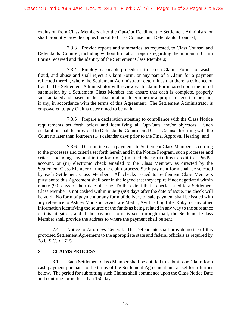exclusion from Class Members after the Opt-Out Deadline, the Settlement Administrator shall promptly provide copies thereof to Class Counsel and Defendants' Counsel;

7.3.3 Provide reports and summaries, as requested, to Class Counsel and Defendants' Counsel, including without limitation, reports regarding the number of Claim Forms received and the identity of the Settlement Class Members;

7.3.4 Employ reasonable procedures to screen Claims Forms for waste, fraud, and abuse and shall reject a Claim Form, or any part of a Claim for a payment reflected therein, where the Settlement Administrator determines that there is evidence of fraud. The Settlement Administrator will review each Claim Form based upon the initial submission by a Settlement Class Member and ensure that each is complete, properly substantiated and, based on the substantiation, determine the appropriate benefit to be paid, if any, in accordance with the terms of this Agreement. The Settlement Administrator is empowered to pay Claims determined to be valid;

7.3.5 Prepare a declaration attesting to compliance with the Class Notice requirements set forth below and identifying all Opt-Outs and/or objectors. Such declaration shall be provided to Defendants' Counsel and Class Counsel for filing with the Court no later than fourteen (14) calendar days prior to the Final Approval Hearing; and

7.3.6 Distributing cash payments to Settlement Class Members according to the processes and criteria set forth herein and in the Notice Program, such processes and criteria including payment in the form of (i) mailed check; (ii) direct credit to a PayPal account, or (iii) electronic check emailed to the Class Member, as directed by the Settlement Class Member during the claim process. Such payment form shall be selected by each Settlement Class Member. All checks issued to Settlement Class Members pursuant to this Agreement shall bear in the legend that they expire if not negotiated within ninety (90) days of their date of issue. To the extent that a check issued to a Settlement Class Member is not cashed within ninety (90) days after the date of issue, the check will be void. No form of payment or any form of delivery of said payment shall be issued with any reference to Ashley Madison, Avid Life Media, Avid Dating Life, Ruby, or any other information identifying the source of the funds as being related in any way to the substance of this litigation, and if the payment form is sent through mail, the Settlement Class Member shall provide the address to where the payment shall be sent.

7.4 Notice to Attorneys General. The Defendants shall provide notice of this proposed Settlement Agreement to the appropriate state and federal officials as required by 28 U.S.C. § 1715.

#### 8. **CLAIMS PROCESS**

8.1 Each Settlement Class Member shall be entitled to submit one Claim for a cash payment pursuant to the terms of the Settlement Agreement and as set forth further below. The period for submitting such Claims shall commence upon the Class Notice Date and continue for no less than 150 days.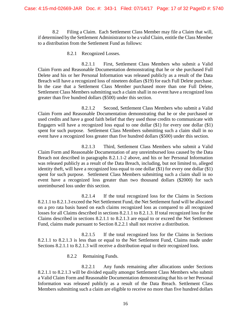8.2 Filing a Claim. Each Settlement Class Member may file a Claim that will, if determined by the Settlement Administrator to be a valid Claim, entitle the Class Member to a distribution from the Settlement Fund as follows:

# 8.2.1 Recognized Losses.

8.2.1.1 First, Settlement Class Members who submit a Valid Claim Form and Reasonable Documentation demonstrating that he or she purchased Full Delete and his or her Personal Information was released publicly as a result of the Data Breach will have a recognized loss of nineteen dollars (\$19) for each Full Delete purchase. In the case that a Settlement Class Member purchased more than one Full Delete, Settlement Class Members submitting such a claim shall in no event have a recognized loss greater than five hundred dollars (\$500) under this section.

8.2.1.2 Second, Settlement Class Members who submit a Valid Claim Form and Reasonable Documentation demonstrating that he or she purchased or used credits and have a good faith belief that they used those credits to communicate with Engagers will have a recognized loss equal to one dollar (\$1) for every one dollar (\$1) spent for such purpose. Settlement Class Members submitting such a claim shall in no event have a recognized loss greater than five hundred dollars (\$500) under this section.

8.2.1.3 Third, Settlement Class Members who submit a Valid Claim Form and Reasonable Documentation of any unreimbursed loss caused by the Data Breach not described in paragraphs 8.2.1.1-2 above, and his or her Personal Information was released publicly as a result of the Data Breach, including, but not limited to, alleged identity theft, will have a recognized loss equal to one dollar (\$1) for every one dollar (\$1) spent for such purpose. Settlement Class Members submitting such a claim shall in no event have a recognized loss greater than two thousand dollars (\$2000) for such unreimbursed loss under this section.

8.2.1.4 If the total recognized loss for the Claims in Sections 8.2.1.1 to 8.2.1.3 exceed the Net Settlement Fund, the Net Settlement fund will be allocated on a pro rata basis based on each claims recognized loss as compared to all recognized losses for all Claims described in sections 8.2.1.1 to 8.2.1.3. If total recognized loss for the Claims described in sections 8.2.1.1 to 8.2.1.3 are equal to or exceed the Net Settlement Fund, claims made pursuant to Section 8.2.2.1 shall not receive a distribution.

8.2.1.5 If the total recognized loss for the Claims in Sections 8.2.1.1 to 8.2.1.3 is less than or equal to the Net Settlement Fund, Claims made under Sections 8.2.1.1 to 8.2.1.3 will receive a distribution equal to their recognized loss.

# 8.2.2 Remaining Funds.

8.2.2.1 Any funds remaining after allocations under Sections 8.2.1.1 to 8.2.1.3 will be divided equally amongst Settlement Class Members who submit a Valid Claim Form and Reasonable Documentation demonstrating that his or her Personal Information was released publicly as a result of the Data Breach. Settlement Class Members submitting such a claim are eligible to receive no more than five hundred dollars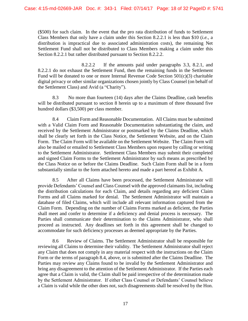(\$500) for such claim. In the event that the pro rata distribution of funds to Settlement Class Members that only have a claim under this Section 8.2.2.1 is less than \$10 (*i.e.,* a distribution is impractical due to associated administration costs), the remaining Net Settlement Fund shall not be distributed to Class Members making a claim under this Section 8.2.2.1 but rather distributed pursuant to Section 8.2.2.2.

8.2.2.2 If the amounts paid under paragraphs 3.3, 8.2.1, and 8.2.2.1 do not exhaust the Settlement Fund, then the remaining funds in the Settlement Fund will be donated to one or more Internal Revenue Code Section 501(c)(3) charitable digital privacy or other similar organizations chosen jointly by Class Counsel (on behalf of the Settlement Class) and Avid (a "Charity").

8.3 No more than fourteen (14) days after the Claims Deadline, cash benefits will be distributed pursuant to section 8 herein up to a maximum of three thousand five hundred dollars (\$3,500) per class member.

8.4 Claim Form and Reasonable Documentation. All Claims must be submitted with a Valid Claim Form and Reasonable Documentation substantiating the claim, and received by the Settlement Administrator or postmarked by the Claims Deadline, which shall be clearly set forth in the Class Notice, the Settlement Website, and on the Claim Form. The Claim Form will be available on the Settlement Website. The Claim Form will also be mailed or emailed to Settlement Class Members upon request by calling or writing to the Settlement Administrator. Settlement Class Members may submit their completed and signed Claim Forms to the Settlement Administrator by such means as prescribed by the Class Notice on or before the Claims Deadline. Such Claim Form shall be in a form substantially similar to the form attached hereto and made a part hereof as Exhibit A.

8.5 After all Claims have been processed, the Settlement Administrator will provide Defendants' Counsel and Class Counsel with the approved claimants list, including the distribution calculations for each Claim, and details regarding any deficient Claim Forms and all Claims marked for denial. The Settlement Administrator will maintain a database of filed Claims, which will include all relevant information captured from the Claim Form. Depending on the number of Claims Forms marked as deficient, the Parties shall meet and confer to determine if a deficiency and denial process is necessary. The Parties shall communicate their determination to the Claims Administrator, who shall proceed as instructed. Any deadlines set forth in this agreement shall be changed to accommodate for such deficiency processes as deemed appropriate by the Parties.

8.6 Review of Claims. The Settlement Administrator shall be responsible for reviewing all Claims to determine their validity. The Settlement Administrator shall reject any Claim that does not comply in any material respect with the instructions on the Claim Form or the terms of paragraph 8.4, above, or is submitted after the Claims Deadline. The Parties may review any Claims found to be invalid by the Settlement Administrator and bring any disagreement to the attention of the Settlement Administrator. If the Parties each agree that a Claim is valid, the Claim shall be paid irrespective of the determination made by the Settlement Administrator. If either Class Counsel or Defendants' Counsel believe a Claim is valid while the other does not, such disagreements shall be resolved by the Hon.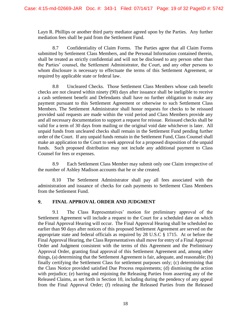Layn R. Phillips or another third party mediator agreed upon by the Parties. Any further mediation fees shall be paid from the Settlement Fund.

8.7 Confidentiality of Claim Forms. The Parties agree that all Claim Forms submitted by Settlement Class Members, and the Personal Information contained therein, shall be treated as strictly confidential and will not be disclosed to any person other than the Parties' counsel, the Settlement Administrator, the Court, and any other persons to whom disclosure is necessary to effectuate the terms of this Settlement Agreement, or required by applicable state or federal law.

8.8 Uncleared Checks. Those Settlement Class Members whose cash benefit checks are not cleared within ninety (90) days after issuance shall be ineligible to receive a cash settlement benefit and Defendants shall have no further obligation to make any payment pursuant to this Settlement Agreement or otherwise to such Settlement Class Members. The Settlement Administrator shall honor requests for checks to be reissued provided said requests are made within the void period and Class Members provide any and all necessary documentation to support a request for reissue. Reissued checks shall be valid for a term of 30 days from mailing or the original void date whichever is later. All unpaid funds from uncleared checks shall remain in the Settlement Fund pending further order of the Court. If any unpaid funds remain in the Settlement Fund, Class Counsel shall make an application to the Court to seek approval for a proposed disposition of the unpaid funds. Such proposed distribution may not include any additional payment to Class Counsel for fees or expenses.

8.9 Each Settlement Class Member may submit only one Claim irrespective of the number of Ashley Madison accounts that he or she created.

8.10 The Settlement Administrator shall pay all fees associated with the administration and issuance of checks for cash payments to Settlement Class Members from the Settlement Fund.

#### $9<sub>r</sub>$ **FINAL APPROVAL ORDER AND JUDGMENT**

9.1 The Class Representatives' motion for preliminary approval of the Settlement Agreement will include a request to the Court for a scheduled date on which the Final Approval Hearing will occur. The Final Approval Hearing shall be scheduled no earlier than 90 days after notices of this proposed Settlement Agreement are served on the appropriate state and federal officials as required by 28 U.S.C § 1715. At or before the Final Approval Hearing, the Class Representatives shall move for entry of a Final Approval Order and Judgment consistent with the terms of this Agreement and the Preliminary Approval Order, granting final approval of this Settlement Agreement and, among other things, (a) determining that the Settlement Agreement is fair, adequate, and reasonable; (b) finally certifying the Settlement Class for settlement purposes only; (c) determining that the Class Notice provided satisfied Due Process requirements; (d) dismissing the action with prejudice; (e) barring and enjoining the Releasing Parties from asserting any of the Released Claims, as set forth in Section 10, including during the pendency of any appeal from the Final Approval Order; (f) releasing the Released Parties from the Released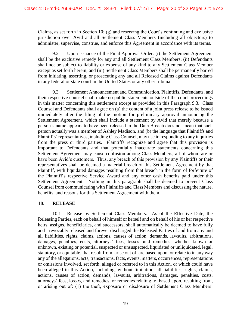Claims, as set forth in Section 10; (g) and reserving the Court's continuing and exclusive jurisdiction over Avid and all Settlement Class Members (including all objectors) to administer, supervise, construe, and enforce this Agreement in accordance with its terms.

9.2 Upon issuance of the Final Approval Order: (i) the Settlement Agreement shall be the exclusive remedy for any and all Settlement Class Members; (ii) Defendants shall not be subject to liability or expense of any kind to any Settlement Class Member except as set forth herein; and (iii) Settlement Class Members shall be permanently barred from initiating, asserting, or prosecuting any and all Released Claims against Defendants in any federal or state court in the United States or any other tribunal

9.3 Settlement Announcement and Communication. Plaintiffs, Defendants, and their respective counsel shall make no public statements outside of the court proceedings in this matter concerning this settlement except as provided in this Paragraph 9.3. Class Counsel and Defendants shall agree on (a) the content of a joint press release to be issued immediately after the filing of the motion for preliminary approval announcing the Settlement Agreement, which shall include a statement by Avid that merely because a person's name appears to have been released in the Data Breach does not mean that such person actually was a member of Ashley Madison, and (b) the language that Plaintiffs and Plaintiffs' representatives, including Class Counsel, may use in responding to any inquiries from the press or third parties. Plaintiffs recognize and agree that this provision is important to Defendants and that potentially inaccurate statements concerning this Settlement Agreement may cause confusion among Class Members, all of whom are or have been Avid's customers. Thus, any breach of this provision by any Plaintiffs or their representatives shall be deemed a material breach of this Settlement Agreement by that Plaintiff, with liquidated damages resulting from that breach in the form of forfeiture of the Plaintiff's respective Service Award and any other cash benefits paid under this Settlement Agreement. Nothing in this paragraph shall be deemed to prevent Class Counsel from communicating with Plaintiffs and Class Members and discussing the nature, benefits, and reasons for this Settlement Agreement with them.

#### 10. **RELEASE**

10.1 Release by Settlement Class Members. As of the Effective Date, the Releasing Parties, each on behalf of himself or herself and on behalf of his or her respective heirs, assigns, beneficiaries, and successors, shall automatically be deemed to have fully and irrevocably released and forever discharged the Released Parties of and from any and all liabilities, rights, claims, actions, causes of action, demands, lawsuits, arbitrations, damages, penalties, costs, attorneys' fees, losses, and remedies, whether known or unknown, existing or potential, suspected or unsuspected, liquidated or unliquidated, legal, statutory, or equitable, that result from, arise out of, are based upon, or relate to in any way any of the allegations, acts, transactions, facts, events, matters, occurrences, representations or omissions involved, set forth, alleged or referred to in this Action, or which could have been alleged in this Action, including, without limitation, all liabilities, rights, claims, actions, causes of action, demands, lawsuits, arbitrations, damages, penalties, costs, attorneys' fees, losses, and remedies, or remedies relating to, based upon, resulting from, or arising out of: (1) the theft, exposure or disclosure of Settlement Class Members'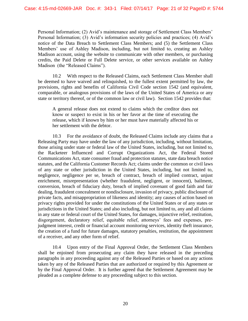Personal Information; (2) Avid's maintenance and storage of Settlement Class Members' Personal Information; (3) Avid's information security policies and practices; (4) Avid's notice of the Data Breach to Settlement Class Members; and (5) the Settlement Class Members' use of Ashley Madison, including, but not limited to, creating an Ashley Madison account, using the website to communicate with other members, or purchasing credits, the Paid Delete or Full Delete service, or other services available on Ashley Madison (the "Released Claims").

10.2 With respect to the Released Claims, each Settlement Class Member shall be deemed to have waived and relinquished, to the fullest extent permitted by law, the provisions, rights and benefits of California Civil Code section 1542 (and equivalent, comparable, or analogous provisions of the laws of the United States of America or any state or territory thereof, or of the common law or civil law). Section 1542 provides that:

A general release does not extend to claims which the creditor does not know or suspect to exist in his or her favor at the time of executing the release, which if known by him or her must have materially affected his or her settlement with the debtor.

10.3 For the avoidance of doubt, the Released Claims include any claims that a Releasing Party may have under the law of any jurisdiction, including, without limitation, those arising under state or federal law of the United States, including, but not limited to, the Racketeer Influenced and Corrupt Organizations Act, the Federal Stored Communications Act, state consumer fraud and protection statutes, state data breach notice statutes, and the California Customer Records Act; claims under the common or civil laws of any state or other jurisdiction in the United States, including, but not limited to, negligence, negligence per se, breach of contract, breach of implied contract, unjust enrichment, misrepresentation (whether fraudulent, negligent, or innocent), bailment, conversion, breach of fiduciary duty, breach of implied covenant of good faith and fair dealing, fraudulent concealment or nondisclosure, invasion of privacy, public disclosure of private facts, and misappropriation of likeness and identity; any causes of action based on privacy rights provided for under the constitutions of the United States or of any states or jurisdictions in the United States; and also including, but not limited to, any and all claims in any state or federal court of the United States, for damages, injunctive relief, restitution, disgorgement, declaratory relief, equitable relief, attorneys' fees and expenses, prejudgment interest, credit or financial account monitoring services, identity theft insurance, the creation of a fund for future damages, statutory penalties, restitution, the appointment of a receiver, and any other form of relief.

10.4 Upon entry of the Final Approval Order, the Settlement Class Members shall be enjoined from prosecuting any claim they have released in the preceding paragraphs in any proceeding against any of the Released Parties or based on any actions taken by any of the Released Parties that are authorized or required by this Agreement or by the Final Approval Order. It is further agreed that the Settlement Agreement may be pleaded as a complete defense to any proceeding subject to this section.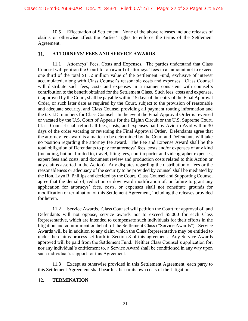10.5 Effectuation of Settlement. None of the above releases include releases of claims or otherwise affect the Parties' rights to enforce the terms of the Settlement Agreement.

#### 11. **ATTORNEYS' FEES AND SERVICE AWARDS**

11.1 Attorneys' Fees, Costs and Expenses. The parties understand that Class Counsel will petition the Court for an award of attorneys' fees in an amount not to exceed one third of the total \$11.2 million value of the Settlement Fund, exclusive of interest accumulated, along with Class Counsel's reasonable costs and expenses. Class Counsel will distribute such fees, costs and expenses in a manner consistent with counsel's contribution to the benefit obtained for the Settlement Class. Such fees, costs and expenses, if approved by the Court, shall be payable within 15 days of the entry of the Final Approval Order, or such later date as required by the Court, subject to the provision of reasonable and adequate security, and Class Counsel providing all payment routing information and the tax I.D. numbers for Class Counsel. In the event the Final Approval Order is reversed or vacated by the U.S. Court of Appeals for the Eighth Circuit or the U.S. Supreme Court, Class Counsel shall refund all fees, costs, and expenses paid by Avid to Avid within 30 days of the order vacating or reversing the Final Approval Order. Defendants agree that the attorney fee award is a matter to be determined by the Court and Defendants will take no position regarding the attorney fee award. The Fee and Expense Award shall be the total obligation of Defendants to pay for attorneys' fees, costs and/or expenses of any kind (including, but not limited to, travel, filing fees, court reporter and videographer expenses, expert fees and costs, and document review and production costs related to this Action or any claims asserted in the Action). Any disputes regarding the distribution of fees or the reasonableness or adequacy of the security to be provided by counsel shall be mediated by the Hon. Layn R. Phillips and decided by the Court. Class Counsel and Supporting Counsel agree that the denial of, reduction or downward modification of, or failure to grant any application for attorneys' fees, costs, or expenses shall not constitute grounds for modification or termination of this Settlement Agreement, including the releases provided for herein.

11.2 Service Awards. Class Counsel will petition the Court for approval of, and Defendants will not oppose, service awards not to exceed \$5,000 for each Class Representative, which are intended to compensate such individuals for their efforts in the litigation and commitment on behalf of the Settlement Class ("Service Awards"). Service Awards will be in addition to any claim which the Class Representative may be entitled to under the claims process set forth in Section 8 of this agreement. Any Service Awards approved will be paid from the Settlement Fund. Neither Class Counsel's application for, nor any individual's entitlement to, a Service Award shall be conditioned in any way upon such individual's support for this Agreement.

11.3 Except as otherwise provided in this Settlement Agreement, each party to this Settlement Agreement shall bear his, her or its own costs of the Litigation.

#### $12.$ **TERMINATION**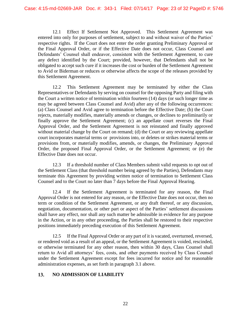12.1 Effect If Settlement Not Approved. This Settlement Agreement was entered into only for purposes of settlement, subject to and without waiver of the Parties' respective rights. If the Court does not enter the order granting Preliminary Approval or the Final Approval Order, or if the Effective Date does not occur, Class Counsel and Defendants' Counsel shall endeavor, consistent with the Settlement Agreement, to cure any defect identified by the Court; provided, however, that Defendants shall not be obligated to accept such cure if it increases the cost or burden of the Settlement Agreement to Avid or Biderman or reduces or otherwise affects the scope of the releases provided by this Settlement Agreement.

12.2 This Settlement Agreement may be terminated by either the Class Representatives or Defendants by serving on counsel for the opposing Party and filing with the Court a written notice of termination within fourteen (14) days (or such longer time as may be agreed between Class Counsel and Avid) after any of the following occurrences: (a) Class Counsel and Avid agree to termination before the Effective Date; (b) the Court rejects, materially modifies, materially amends or changes, or declines to preliminarily or finally approve the Settlement Agreement; (c) an appellate court reverses the Final Approval Order, and the Settlement Agreement is not reinstated and finally approved without material change by the Court on remand; (d) the Court or any reviewing appellate court incorporates material terms or provisions into, or deletes or strikes material terms or provisions from, or materially modifies, amends, or changes, the Preliminary Approval Order, the proposed Final Approval Order, or the Settlement Agreement; or (e) the Effective Date does not occur.

12.3 If a threshold number of Class Members submit valid requests to opt out of the Settlement Class (that threshold number being agreed by the Parties), Defendants may terminate this Agreement by providing written notice of termination to Settlement Class Counsel and to the Court no later than 7 days before the Final Approval Hearing.

12.4 If the Settlement Agreement is terminated for any reason, the Final Approval Order is not entered for any reason, or the Effective Date does not occur, then no term or condition of the Settlement Agreement, or any draft thereof, or any discussion, negotiation, documentation, or other part or aspect of the Parties' settlement discussions shall have any effect, nor shall any such matter be admissible in evidence for any purpose in the Action, or in any other proceeding, the Parties shall be restored to their respective positions immediately preceding execution of this Settlement Agreement.

12.5 If the Final Approval Order or any part of it is vacated, overturned, reversed, or rendered void as a result of an appeal, or the Settlement Agreement is voided, rescinded, or otherwise terminated for any other reason, then within 30 days, Class Counsel shall return to Avid all attorneys' fees, costs, and other payments received by Class Counsel under the Settlement Agreement except for fees incurred for notice and for reasonable administration expenses, as set forth in paragraph 3.1 above.

#### **NO ADMISSION OF LIABILITY** 13.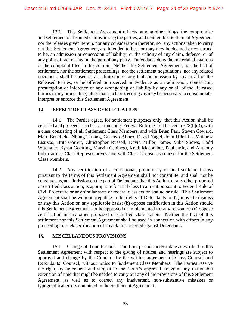13.1 This Settlement Agreement reflects, among other things, the compromise and settlement of disputed claims among the parties, and neither this Settlement Agreement nor the releases given herein, nor any consideration therefor, nor any actions taken to carry out this Settlement Agreement, are intended to be, nor may they be deemed or construed to be, an admission or concession of liability, or the validity of any claim, defense, or of any point of fact or law on the part of any party. Defendants deny the material allegations of the complaint filed in this Action. Neither this Settlement Agreement, nor the fact of settlement, nor the settlement proceedings, nor the settlement negotiations, nor any related document, shall be used as an admission of any fault or omission by any or all of the Released Parties, or be offered or received in evidence as an admission, concession, presumption or inference of any wrongdoing or liability by any or all of the Released Parties in any proceeding, other than such proceedings as may be necessary to consummate, interpret or enforce this Settlement Agreement.

#### 14. **EFFECT OF CLASS CERTIFICATION**

14.1 The Parties agree, for settlement purposes only, that this Action shall be certified and proceed as a class action under Federal Rule of Civil Procedure 23(b)(3), with a class consisting of all Settlement Class Members, and with Brian Farr, Steven Coward, Marc Benefield, Nhung Truong, Gustavo Alfaro, David Yagel, John Hiles III, Matthew Lisuzzo, Britt Garrett, Christopher Russell, David Miller, James Mike Shows, Todd Witengier, Byron Goetting, Marvin Cabiness, Keith Macomber, Paul Jack, and Anthony Imbarrato, as Class Representatives, and with Class Counsel as counsel for the Settlement Class Members.

14.2 Any certification of a conditional, preliminary or final settlement class pursuant to the terms of this Settlement Agreement shall not constitute, and shall not be construed as, an admission on the part of Defendants that this Action, or any other proposed or certified class action, is appropriate for trial class treatment pursuant to Federal Rule of Civil Procedure or any similar state or federal class action statute or rule. This Settlement Agreement shall be without prejudice to the rights of Defendants to: (a) move to dismiss or stay this Action on any applicable basis; (b) oppose certification in this Action should this Settlement Agreement not be approved or implemented for any reason; or (c) oppose certification in any other proposed or certified class action. Neither the fact of this settlement nor this Settlement Agreement shall be used in connection with efforts in any proceeding to seek certification of any claims asserted against Defendants.

#### 15. **MISCELLANEOUS PROVISIONS**

15.1 Change of Time Periods. The time periods and/or dates described in this Settlement Agreement with respect to the giving of notices and hearings are subject to approval and change by the Court or by the written agreement of Class Counsel and Defendants' Counsel, without notice to Settlement Class Members. The Parties reserve the right, by agreement and subject to the Court's approval, to grant any reasonable extension of time that might be needed to carry out any of the provisions of this Settlement Agreement, as well as to correct any inadvertent, non-substantive mistakes or typographical errors contained in the Settlement Agreement.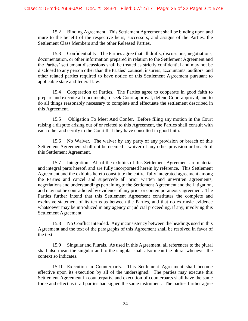15.2 Binding Agreement. This Settlement Agreement shall be binding upon and inure to the benefit of the respective heirs, successors, and assigns of the Parties, the Settlement Class Members and the other Released Parties.

15.3 Confidentiality. The Parties agree that all drafts, discussions, negotiations, documentation, or other information prepared in relation to the Settlement Agreement and the Parties' settlement discussions shall be treated as strictly confidential and may not be disclosed to any person other than the Parties' counsel, insurers, accountants, auditors, and other related parties required to have notice of this Settlement Agreement pursuant to applicable state and federal law.

15.4 Cooperation of Parties. The Parties agree to cooperate in good faith to prepare and execute all documents, to seek Court approval, defend Court approval, and to do all things reasonably necessary to complete and effectuate the settlement described in this Agreement.

15.5 Obligation To Meet And Confer. Before filing any motion in the Court raising a dispute arising out of or related to this Agreement, the Parties shall consult with each other and certify to the Court that they have consulted in good faith.

15.6 No Waiver. The waiver by any party of any provision or breach of this Settlement Agreement shall not be deemed a waiver of any other provision or breach of this Settlement Agreement.

15.7 Integration. All of the exhibits of this Settlement Agreement are material and integral parts hereof, and are fully incorporated herein by reference. This Settlement Agreement and the exhibits hereto constitute the entire, fully integrated agreement among the Parties and cancel and supercede all prior written and unwritten agreements, negotiations and understandings pertaining to the Settlement Agreement and the Litigation, and may not be contradicted by evidence of any prior or contemporaneous agreement. The Parties further intend that this Settlement Agreement constitutes the complete and exclusive statement of its terms as between the Parties, and that no extrinsic evidence whatsoever may be introduced in any agency or judicial proceeding, if any, involving this Settlement Agreement.

15.8 No Conflict Intended. Any inconsistency between the headings used in this Agreement and the text of the paragraphs of this Agreement shall be resolved in favor of the text.

15.9 Singular and Plurals. As used in this Agreement, all references to the plural shall also mean the singular and to the singular shall also mean the plural whenever the context so indicates.

15.10 Execution in Counterparts. This Settlement Agreement shall become effective upon its execution by all of the undersigned. The parties may execute this Settlement Agreement in counterparts, and execution of counterparts shall have the same force and effect as if all parties had signed the same instrument. The parties further agree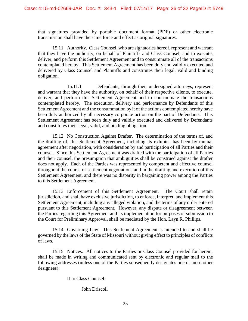that signatures provided by portable document format (PDF) or other electronic transmission shall have the same force and effect as original signatures.

15.11 Authority. Class Counsel, who are signatories hereof, represent and warrant that they have the authority, on behalf of Plaintiffs and Class Counsel, and to execute, deliver, and perform this Settlement Agreement and to consummate all of the transactions contemplated hereby. This Settlement Agreement has been duly and validly executed and delivered by Class Counsel and Plaintiffs and constitutes their legal, valid and binding obligation.

15.11.1 Defendants, through their undersigned attorneys, represent and warrant that they have the authority, on behalf of their respective clients, to execute, deliver, and perform this Settlement Agreement and to consummate the transactions contemplated hereby. The execution, delivery and performance by Defendants of this Settlement Agreement and the consummation by it of the actions contemplated hereby have been duly authorized by all necessary corporate action on the part of Defendants. This Settlement Agreement has been duly and validly executed and delivered by Defendants and constitutes their legal, valid, and binding obligation.

15.12 No Construction Against Drafter. The determination of the terms of, and the drafting of, this Settlement Agreement, including its exhibits, has been by mutual agreement after negotiation, with consideration by and participation of all Parties and their counsel. Since this Settlement Agreement was drafted with the participation of all Parties and their counsel, the presumption that ambiguities shall be construed against the drafter does not apply. Each of the Parties was represented by competent and effective counsel throughout the course of settlement negotiations and in the drafting and execution of this Settlement Agreement, and there was no disparity in bargaining power among the Parties to this Settlement Agreement.

15.13 Enforcement of this Settlement Agreement. The Court shall retain jurisdiction, and shall have exclusive jurisdiction, to enforce, interpret, and implement this Settlement Agreement, including any alleged violation, and the terms of any order entered pursuant to this Settlement Agreement. However, any dispute or disagreement between the Parties regarding this Agreement and its implementation for purposes of submission to the Court for Preliminary Approval, shall be mediated by the Hon. Layn R. Phillips.

15.14 Governing Law. This Settlement Agreement is intended to and shall be governed by the laws of the State of Missouri without giving effect to principles of conflicts of laws.

15.15 Notices. All notices to the Parties or Class Counsel provided for herein, shall be made in writing and communicated sent by electronic and regular mail to the following addresses (unless one of the Parties subsequently designates one or more other designees):

If to Class Counsel:

John Driscoll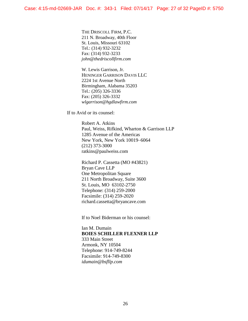THE DRISCOLL FIRM, P.C. 211 N. Broadway, 40th Floor St. Louis, Missouri 63102 Tel.: (314) 932-3232 Fax: (314) 932-3233 *john@thedriscollfirm.com* 

W. Lewis Garrison, Jr. HENINGER GARRISON DAVIS LLC 2224 1st Avenue North Birmingham, Alabama 35203 Tel.: (205) 326-3336 Fax: (205) 326-3332 *wlgarrison@hgdlawfirm.com* 

If to Avid or its counsel:

Robert A. Atkins Paul, Weiss, Rifkind, Wharton & Garrison LLP 1285 Avenue of the Americas New York, New York 10019–6064 (212) 373-3000 ratkins@paulweiss.com

Richard P. Cassetta (MO #43821) Bryan Cave LLP One Metropolitan Square 211 North Broadway, Suite 3600 St. Louis, MO 63102-2750 Telephone: (314) 259-2000 Facsimile: (314) 259-2020 richard.cassetta@bryancave.com

If to Noel Biderman or his counsel:

Ian M. Dumain **BOIES SCHILLER FLEXNER LLP** 333 Main Street Armonk, NY 10504 Telephone: 914-749-8244 Facsimile: 914-749-8300 *idumain@bsfllp.com*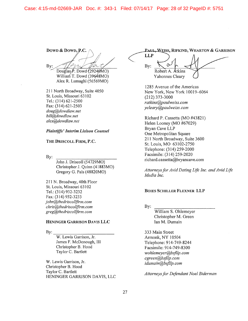Case: 4:15-md-02669-JAR Doc. #: 343-1 Filed: 07/14/17 Page: 28 of 32 PageID #: 5751

Down & Down, P.C. Bv:

Douglas  $\hat{P}$ . Dowd (29240MO) William T. Dowd (39648MO) Alex R. Lumaghi (56569MO)

211 North Broadway, Suite 4050 St. Louis, Missouri 63102 Tel.: (314) 621-2500 Fax: (314) 621-2503 doug@dowdlaw.net bill@dowdlaw.net alex@dowdlaw.net

### **Plaintiffs' Interim Liaison Counsel**

### THE DRISCOLL FIRM, P.C.

By:

John J. Driscoll (54729MO) Christopher J. Quinn (41883MO) Gregory G. Pals (48820MO)

211 N. Broadway, 40th Floor St. Louis, Missouri 63102 Tel.: (314) 932-3232 Fax: (314) 932-3233 john@thedriscollfirm.com chris@thedriscollfirm.com greg@thedriscollfirm.com

# HENINGER GARRISON DAVIS LLC

By:

W. Lewis Garrison, Jr. James F. McDonough, III Christopher B. Hood Taylor C. Bartlett

W. Lewis Garrison, Jr. Christopher B. Hood Taylor C. Bartlett HENINGER GARRISON DAVIS, LLC

# PAUL, WEISS, RIFKIND, WHARTON & GARRISON

**LLP**  $By:$ Robert A. Atkins Yahonnes Cleary

1285 Avenue of the Americas New York, New York 10019-6064  $(212)$  373-3000 ratkins@paulweiss.com ycleary@paulweiss.com

Richard P. Cassetta (MO #43821) Helen Looney (MO #67029) **Bryan Cave LLP** One Metropolitan Square 211 North Broadway, Suite 3600 St. Louis, MO 63102-2750 Telephone: (314) 259-2000 Facsimile: (314) 259-2020 richard.cassetta@bryancave.com

Attorneys for Avid Dating Life Inc. and Avid Life Media Inc.

### **BOIES SCHILLER FLEXNER LLP**

By:

William S. Ohlemeyer Christopher M. Green Ian M. Dumain

333 Main Street Armonk, NY 10504 Telephone: 914-749-8244 Facsimile: 914-749-8300 wohlemeyer@bsfllp.com cgreen@bsfllp.com idumain@bsfllp.com

Attorneys for Defendant Noel Biderman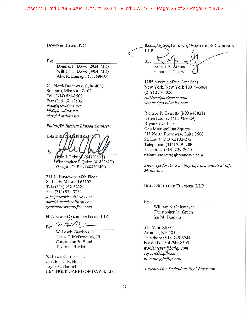Case: 4:15-md-02669-JAR Doc. #: 343-1 Filed: 07/14/17 Page: 29 of 32 PageID #: 5752

Down & Down, P.C.

 $Bv$ :

Douglas P. Dowd (29240MO) William T. Dowd (39648MO) Alex R. Lumaghi (56569MO)

211 North Broadway, Suite 4050 St. Louis, Missouri 63102 Tel.: (314) 621-2500 Fax: (314) 621-2503 doug@dowdlaw.net bill@dowdlaw.net alex@dowdlaw.net

# **Plaintiffs' Interim Liaison Counsel**

THE DRISC By: n J. Driscon (54729MC)

Christopher J. Quinn (41883MO) Gregory G. Pals (48820MO)

211 N. Broadway, 40th Floor St. Louis, Missouri 63102 Tel.: (314) 932-3232 Fax: (314) 932-3233 john@thedriscollfirm.com chris@thedriscollfirm.com greg@thedriscollfirm.com

# HENINGER GARRISON DAVIS LLC

By:

W. Lewis Garrison, Jr. James F. McDonough, III Christopher B. Hood Taylor C. Bartlett

W. Lewis Garrison, Jr. Christopher B. Hood Taylor C. Bartlett HENINGER GARRISON DAVIS, LLC

PAUL, WEISS, RIFKIND, WHARTON & GARRISON LLP By: Robert A. Atkins Yahonnes Cleary

1285 Avenue of the Americas New York, New York 10019-6064  $(212)$  373-3000 ratkins@paulweiss.com ycleary@paulweiss.com

Richard P. Cassetta (MO #43821) Helen Looney (MO #67029) Bryan Cave LLP One Metropolitan Square 211 North Broadway, Suite 3600 St. Louis, MO 63102-2750 Telephone: (314) 259-2000 Facsimile: (314) 259-2020 richard.cassetta@bryancave.com

Attorneys for Avid Dating Life Inc. and Avid Life Media Inc.

# **BOIES SCHILLER FLEXNER LLP**

By:

William S. Ohlemeyer Christopher M. Green Ian M. Dumain

333 Main Street Armonk, NY 10504 Telephone: 914-749-8244 Facsimile: 914-749-8300 wohlemeyer@bsfllp.com cgreen@bsfllp.com idumain@bsfllp.com

Attorneys for Defendant Noel Biderman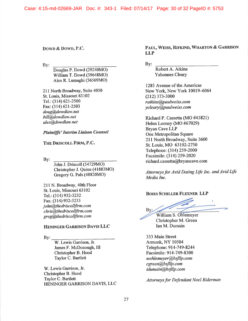Case: 4:15-md-02669-JAR Doc. #: 343-1 Filed: 07/14/17 Page: 30 of 32 PageID #: 5753

# Down & Down, P.C.

By:

Douglas P. Dowd (29240MO) William T. Dowd (39648MO) Alex R. Lumaghi (56569MO)

211 North Broadway, Suite 4050 St. Louis, Missouri 63102 Tel.: (314) 621-2500 Fax: (314) 621-2503 doug@dowdlaw.net bill@dowdlaw.net alex@dowdlaw.net

# **Plaintiffs' Interim Liaison Counsel**

# THE DRISCOLL FIRM, P.C.

 $By:$ 

John J. Driscoll (54729MO) Christopher J. Quinn (41883MO) Gregory G. Pals (48820MO)

211 N. Broadway, 40th Floor St. Louis, Missouri 63102 Tel.: (314) 932-3232 Fax: (314) 932-3233 john@thedriscollfirm.com chris@thedriscollfirm.com greg@thedriscollfirm.com

# **HENINGER GARRISON DAVIS LLC**

 $\mathbf{By:}$ 

W. Lewis Garrison, Jr. James F. McDonough, III Christopher B. Hood Taylor C. Bartlett

W. Lewis Garrison, Jr. Christopher B. Hood Taylor C. Bartlett HENINGER GARRISON DAVIS, LLC PAUL, WEISS, RIFKIND, WHARTON & GARRISON **LLP** 

By:

Robert A. Atkins **Yahonnes Cleary** 

1285 Avenue of the Americas New York, New York 10019-6064  $(212)$  373-3000 ratkins@paulweiss.com ycleary@paulweiss.com

Richard P. Cassetta (MO #43821) Helen Looney (MO #67029) Bryan Cave LLP One Metropolitan Square 211 North Broadway, Suite 3600 St. Louis, MO 63102-2750 Telephone: (314) 259-2000 Facsimile: (314) 259-2020 richard.cassetta@bryancave.com

Attorneys for Avid Dating Life Inc. and Avid Life Media Inc.

### **BOIES SCHILLER FLEXNER LLP**

By: William S. Ohlemeyer Christopher M. Green

Ian M. Dumain

333 Main Street Armonk, NY 10504 Telephone: 914-749-8244 Facsimile: 914-749-8300 wohlemeyer@bsfllp.com cgreen@bsfllp.com idumain@bsfllp.com

**Attorneys for Defendant Noel Biderman**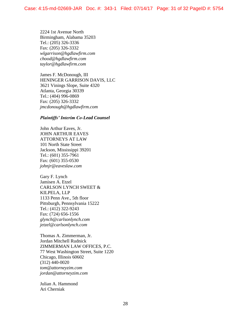2224 1st Avenue North Birmingham, Alabama 35203 Tel.: (205) 326-3336 Fax: (205) 326-3332 *wlgarrison@hgdlawfirm.com chood@hgdlawfirm.com taylor@hgdlawfirm.com* 

James F. McDonough, III HENINGER GARRISON DAVIS, LLC 3621 Vinings Slope, Suite 4320 Atlanta, Georgia 30339 Tel.: (404) 996-0869 Fax: (205) 326-3332 *jmcdonough@hgdlawfirm.com* 

# *Plaintiffs' Interim Co-Lead Counsel*

John Arthur Eaves, Jr. JOHN ARTHUR EAVES ATTORNEYS AT LAW 101 North State Street Jackson, Mississippi 39201 Tel.: (601) 355-7961 Fax: (601) 355-0530 *johnjr@eaveslaw.com* 

Gary F. Lynch Jamisen A. Etzel CARLSON LYNCH SWEET & KILPELA, LLP 1133 Penn Ave., 5th floor Pittsburgh, Pennsylvania 15222 Tel.: (412) 322-9243 Fax: (724) 656-1556 *glynch@carlsonlynch.com jetzel@carlsonlynch.com* 

Thomas A. Zimmerman, Jr. Jordan Mitchell Rudnick ZIMMERMAN LAW OFFICES, P.C. 77 West Washington Street, Suite 1220 Chicago, Illinois 60602 (312) 440-0020 *tom@attorneyzim.com jordan@attorneyzim.com* 

Julian A. Hammond Ari Cherniak